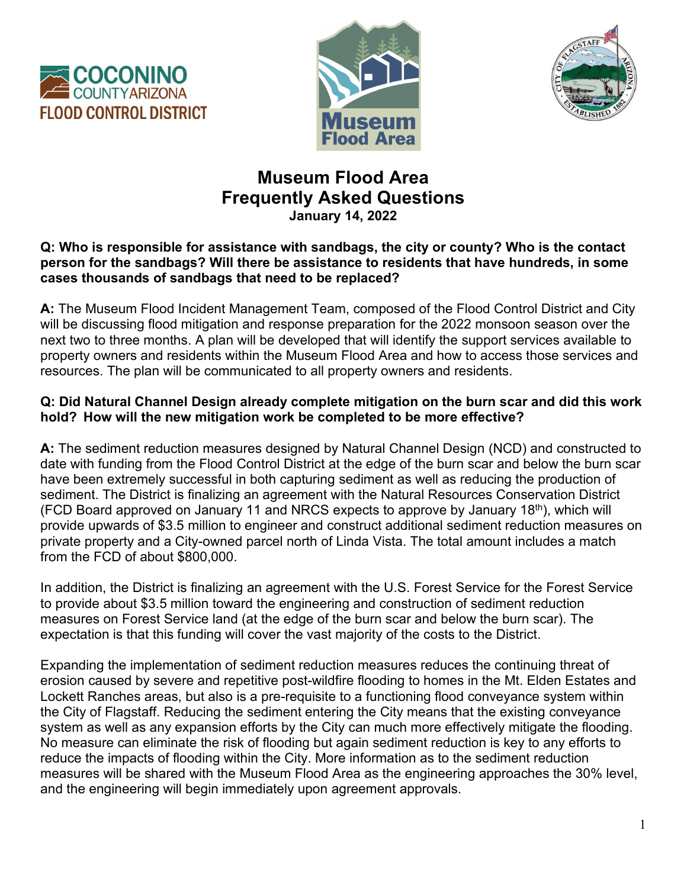





# **Museum Flood Area Frequently Asked Questions January 14, 2022**

### **Q: Who is responsible for assistance with sandbags, the city or county? Who is the contact person for the sandbags? Will there be assistance to residents that have hundreds, in some cases thousands of sandbags that need to be replaced?**

**A:** The Museum Flood Incident Management Team, composed of the Flood Control District and City will be discussing flood mitigation and response preparation for the 2022 monsoon season over the next two to three months. A plan will be developed that will identify the support services available to property owners and residents within the Museum Flood Area and how to access those services and resources. The plan will be communicated to all property owners and residents.

### **Q: Did Natural Channel Design already complete mitigation on the burn scar and did this work hold?  How will the new mitigation work be completed to be more effective?**

**A:** The sediment reduction measures designed by Natural Channel Design (NCD) and constructed to date with funding from the Flood Control District at the edge of the burn scar and below the burn scar have been extremely successful in both capturing sediment as well as reducing the production of sediment. The District is finalizing an agreement with the Natural Resources Conservation District (FCD Board approved on January 11 and NRCS expects to approve by January 18<sup>th</sup>), which will provide upwards of \$3.5 million to engineer and construct additional sediment reduction measures on private property and a City-owned parcel north of Linda Vista. The total amount includes a match from the FCD of about \$800,000.

In addition, the District is finalizing an agreement with the U.S. Forest Service for the Forest Service to provide about \$3.5 million toward the engineering and construction of sediment reduction measures on Forest Service land (at the edge of the burn scar and below the burn scar). The expectation is that this funding will cover the vast majority of the costs to the District.

Expanding the implementation of sediment reduction measures reduces the continuing threat of erosion caused by severe and repetitive post-wildfire flooding to homes in the Mt. Elden Estates and Lockett Ranches areas, but also is a pre-requisite to a functioning flood conveyance system within the City of Flagstaff. Reducing the sediment entering the City means that the existing conveyance system as well as any expansion efforts by the City can much more effectively mitigate the flooding. No measure can eliminate the risk of flooding but again sediment reduction is key to any efforts to reduce the impacts of flooding within the City. More information as to the sediment reduction measures will be shared with the Museum Flood Area as the engineering approaches the 30% level, and the engineering will begin immediately upon agreement approvals.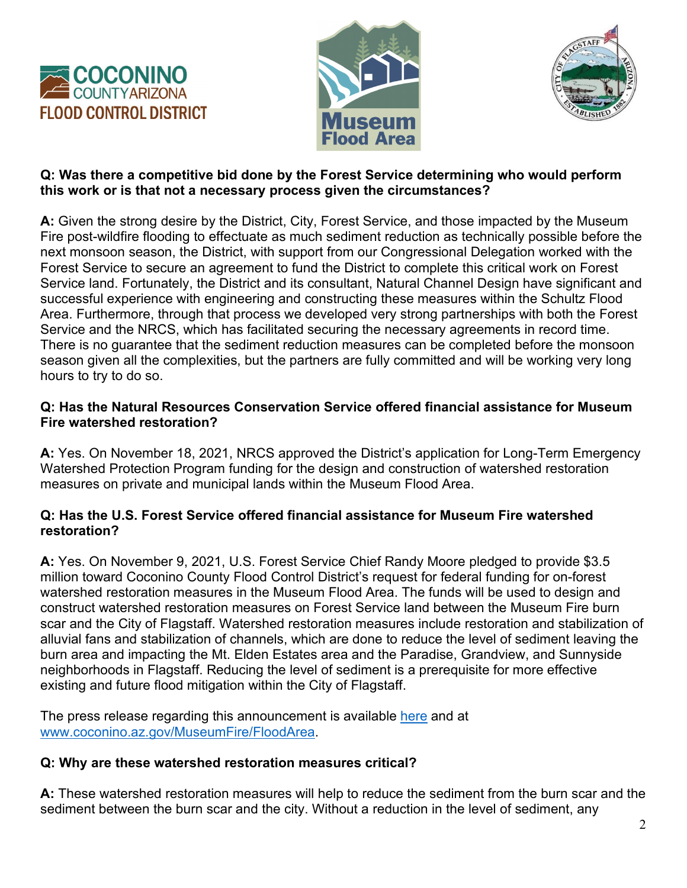





### **Q: Was there a competitive bid done by the Forest Service determining who would perform this work or is that not a necessary process given the circumstances?**

**A:** Given the strong desire by the District, City, Forest Service, and those impacted by the Museum Fire post-wildfire flooding to effectuate as much sediment reduction as technically possible before the next monsoon season, the District, with support from our Congressional Delegation worked with the Forest Service to secure an agreement to fund the District to complete this critical work on Forest Service land. Fortunately, the District and its consultant, Natural Channel Design have significant and successful experience with engineering and constructing these measures within the Schultz Flood Area. Furthermore, through that process we developed very strong partnerships with both the Forest Service and the NRCS, which has facilitated securing the necessary agreements in record time. There is no guarantee that the sediment reduction measures can be completed before the monsoon season given all the complexities, but the partners are fully committed and will be working very long hours to try to do so.

### **Q: Has the Natural Resources Conservation Service offered financial assistance for Museum Fire watershed restoration?**

**A:** Yes. On November 18, 2021, NRCS approved the District's application for Long-Term Emergency Watershed Protection Program funding for the design and construction of watershed restoration measures on private and municipal lands within the Museum Flood Area.

### **Q: Has the U.S. Forest Service offered financial assistance for Museum Fire watershed restoration?**

**A:** Yes. On November 9, 2021, U.S. Forest Service Chief Randy Moore pledged to provide \$3.5 million toward Coconino County Flood Control District's request for federal funding for on-forest watershed restoration measures in the Museum Flood Area. The funds will be used to design and construct watershed restoration measures on Forest Service land between the Museum Fire burn scar and the City of Flagstaff. Watershed restoration measures include restoration and stabilization of alluvial fans and stabilization of channels, which are done to reduce the level of sediment leaving the burn area and impacting the Mt. Elden Estates area and the Paradise, Grandview, and Sunnyside neighborhoods in Flagstaff. Reducing the level of sediment is a prerequisite for more effective existing and future flood mitigation within the City of Flagstaff.

The press release regarding this announcement is available [here](http://www.coconino.az.gov/DocumentCenter/View/47568) and at [www.coconino.az.gov/MuseumFire/FloodArea.](http://www.coconino.az.gov/MuseumFire/FloodArea)

## **Q: Why are these watershed restoration measures critical?**

**A:** These watershed restoration measures will help to reduce the sediment from the burn scar and the sediment between the burn scar and the city. Without a reduction in the level of sediment, any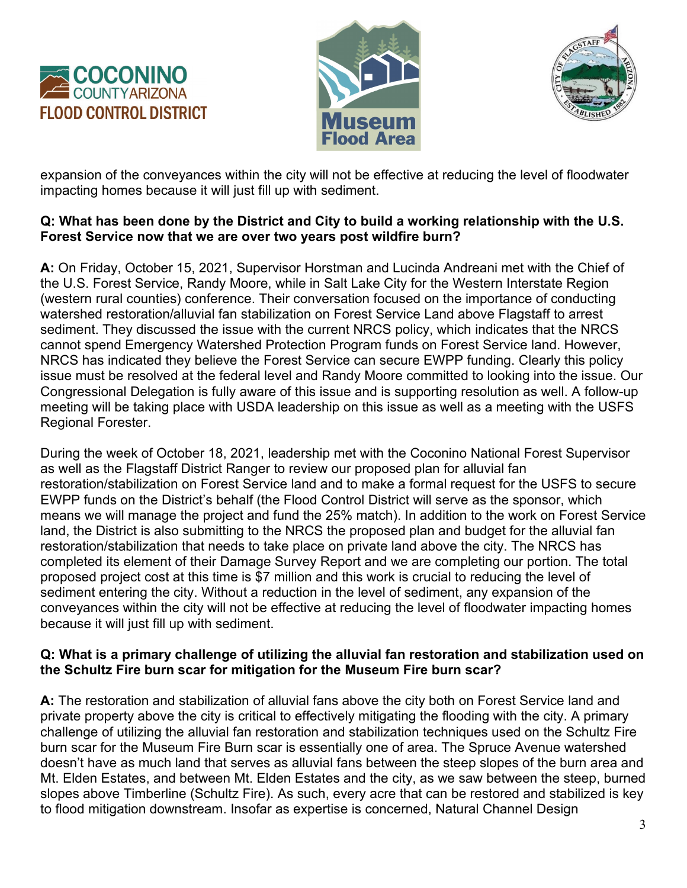





expansion of the conveyances within the city will not be effective at reducing the level of floodwater impacting homes because it will just fill up with sediment.

### **Q: What has been done by the District and City to build a working relationship with the U.S. Forest Service now that we are over two years post wildfire burn?**

**A:** On Friday, October 15, 2021, Supervisor Horstman and Lucinda Andreani met with the Chief of the U.S. Forest Service, Randy Moore, while in Salt Lake City for the Western Interstate Region (western rural counties) conference. Their conversation focused on the importance of conducting watershed restoration/alluvial fan stabilization on Forest Service Land above Flagstaff to arrest sediment. They discussed the issue with the current NRCS policy, which indicates that the NRCS cannot spend Emergency Watershed Protection Program funds on Forest Service land. However, NRCS has indicated they believe the Forest Service can secure EWPP funding. Clearly this policy issue must be resolved at the federal level and Randy Moore committed to looking into the issue. Our Congressional Delegation is fully aware of this issue and is supporting resolution as well. A follow-up meeting will be taking place with USDA leadership on this issue as well as a meeting with the USFS Regional Forester.

During the week of October 18, 2021, leadership met with the Coconino National Forest Supervisor as well as the Flagstaff District Ranger to review our proposed plan for alluvial fan restoration/stabilization on Forest Service land and to make a formal request for the USFS to secure EWPP funds on the District's behalf (the Flood Control District will serve as the sponsor, which means we will manage the project and fund the 25% match). In addition to the work on Forest Service land, the District is also submitting to the NRCS the proposed plan and budget for the alluvial fan restoration/stabilization that needs to take place on private land above the city. The NRCS has completed its element of their Damage Survey Report and we are completing our portion. The total proposed project cost at this time is \$7 million and this work is crucial to reducing the level of sediment entering the city. Without a reduction in the level of sediment, any expansion of the conveyances within the city will not be effective at reducing the level of floodwater impacting homes because it will just fill up with sediment.

#### **Q: What is a primary challenge of utilizing the alluvial fan restoration and stabilization used on the Schultz Fire burn scar for mitigation for the Museum Fire burn scar?**

**A:** The restoration and stabilization of alluvial fans above the city both on Forest Service land and private property above the city is critical to effectively mitigating the flooding with the city. A primary challenge of utilizing the alluvial fan restoration and stabilization techniques used on the Schultz Fire burn scar for the Museum Fire Burn scar is essentially one of area. The Spruce Avenue watershed doesn't have as much land that serves as alluvial fans between the steep slopes of the burn area and Mt. Elden Estates, and between Mt. Elden Estates and the city, as we saw between the steep, burned slopes above Timberline (Schultz Fire). As such, every acre that can be restored and stabilized is key to flood mitigation downstream. Insofar as expertise is concerned, Natural Channel Design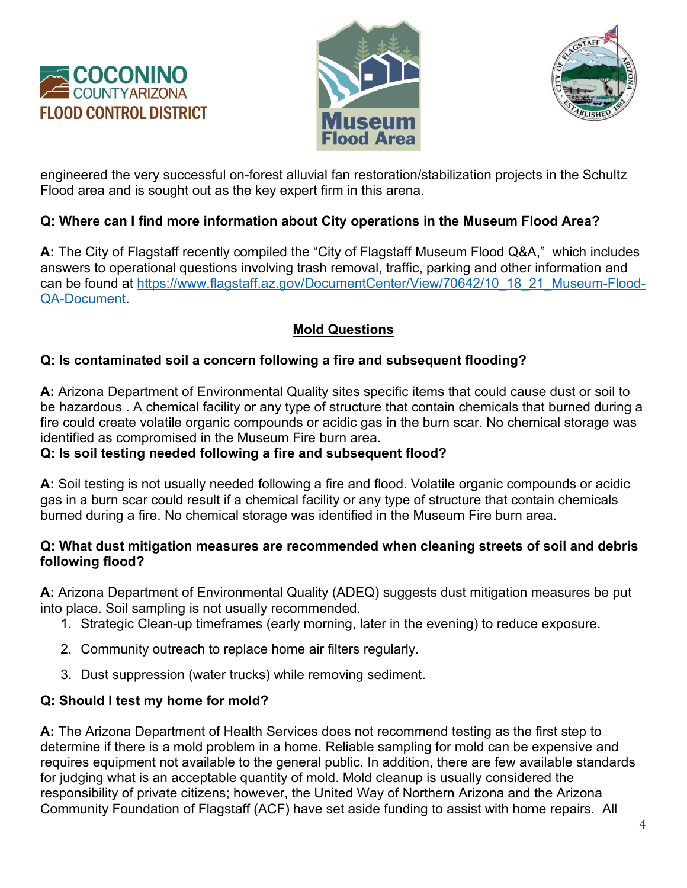





engineered the very successful on-forest alluvial fan restoration/stabilization projects in the Schultz Flood area and is sought out as the key expert firm in this arena.

## **Q: Where can I find more information about City operations in the Museum Flood Area?**

**A:** The City of Flagstaff recently compiled the "City of Flagstaff Museum Flood Q&A," which includes answers to operational questions involving trash removal, traffic, parking and other information and can be found at [https://www.flagstaff.az.gov/DocumentCenter/View/70642/10\\_18\\_21\\_Museum-Flood-](https://www.flagstaff.az.gov/DocumentCenter/View/70642/10_18_21_Museum-Flood-QA-Document)[QA-Document.](https://www.flagstaff.az.gov/DocumentCenter/View/70642/10_18_21_Museum-Flood-QA-Document)

## **Mold Questions**

## **Q: Is contaminated soil a concern following a fire and subsequent flooding?**

**A:** Arizona Department of Environmental Quality sites specific items that could cause dust or soil to be hazardous . A chemical facility or any type of structure that contain chemicals that burned during a fire could create volatile organic compounds or acidic gas in the burn scar. No chemical storage was identified as compromised in the Museum Fire burn area.

### **Q: Is soil testing needed following a fire and subsequent flood?**

**A:** Soil testing is not usually needed following a fire and flood. Volatile organic compounds or acidic gas in a burn scar could result if a chemical facility or any type of structure that contain chemicals burned during a fire. No chemical storage was identified in the Museum Fire burn area.

### **Q: What dust mitigation measures are recommended when cleaning streets of soil and debris following flood?**

**A:** Arizona Department of Environmental Quality (ADEQ) suggests dust mitigation measures be put into place. Soil sampling is not usually recommended.

- 1. Strategic Clean-up timeframes (early morning, later in the evening) to reduce exposure.
- 2. Community outreach to replace home air filters regularly.
- 3. Dust suppression (water trucks) while removing sediment.

## **Q: Should I test my home for mold?**

**A:** The Arizona Department of Health Services does not recommend testing as the first step to determine if there is a mold problem in a home. Reliable sampling for mold can be expensive and requires equipment not available to the general public. In addition, there are few available standards for judging what is an acceptable quantity of mold. Mold cleanup is usually considered the responsibility of private citizens; however, the United Way of Northern Arizona and the Arizona Community Foundation of Flagstaff (ACF) have set aside funding to assist with home repairs. All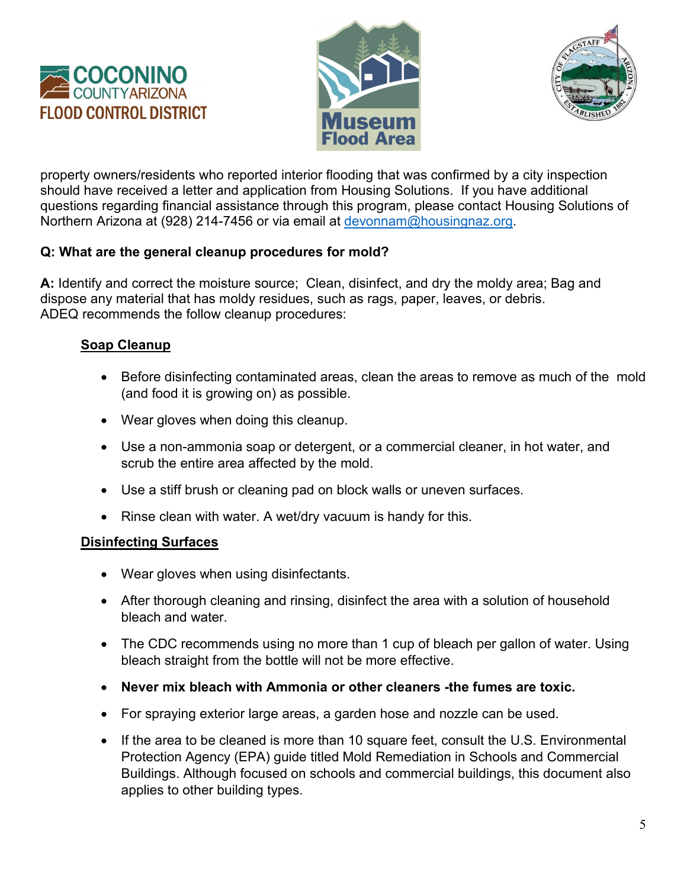





property owners/residents who reported interior flooding that was confirmed by a city inspection should have received a letter and application from Housing Solutions. If you have additional questions regarding financial assistance through this program, please contact Housing Solutions of Northern Arizona at (928) 214-7456 or via email at [devonnam@housingnaz.org.](mailto:devonnam@housingnaz.org)

### **Q: What are the general cleanup procedures for mold?**

**A:** Identify and correct the moisture source; Clean, disinfect, and dry the moldy area; Bag and dispose any material that has moldy residues, such as rags, paper, leaves, or debris. ADEQ recommends the follow cleanup procedures:

### **Soap Cleanup**

- Before disinfecting contaminated areas, clean the areas to remove as much of the mold (and food it is growing on) as possible.
- Wear gloves when doing this cleanup.
- Use a non-ammonia soap or detergent, or a commercial cleaner, in hot water, and scrub the entire area affected by the mold.
- Use a stiff brush or cleaning pad on block walls or uneven surfaces.
- Rinse clean with water. A wet/dry vacuum is handy for this.

### **Disinfecting Surfaces**

- Wear gloves when using disinfectants.
- After thorough cleaning and rinsing, disinfect the area with a solution of household bleach and water.
- The CDC recommends using no more than 1 cup of bleach per gallon of water. Using bleach straight from the bottle will not be more effective.
- **Never mix bleach with Ammonia or other cleaners -the fumes are toxic.**
- For spraying exterior large areas, a garden hose and nozzle can be used.
- If the area to be cleaned is more than 10 square feet, consult the U.S. Environmental Protection Agency (EPA) guide titled Mold Remediation in Schools and Commercial Buildings. Although focused on schools and commercial buildings, this document also applies to other building types.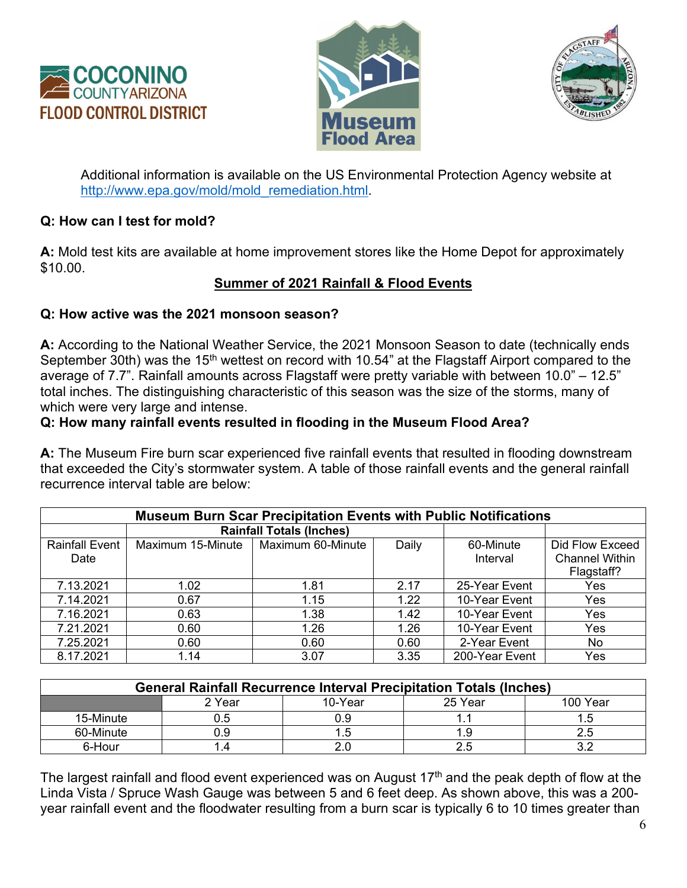





Additional information is available on the US Environmental Protection Agency website at [http://www.epa.gov/mold/mold\\_remediation.html.](http://www.epa.gov/mold/mold_remediation.html)

#### **Q: How can I test for mold?**

**A:** Mold test kits are available at home improvement stores like the Home Depot for approximately \$10.00.

### **Summer of 2021 Rainfall & Flood Events**

#### **Q: How active was the 2021 monsoon season?**

**A:** According to the National Weather Service, the 2021 Monsoon Season to date (technically ends September 30th) was the 15<sup>th</sup> wettest on record with 10.54" at the Flagstaff Airport compared to the average of 7.7". Rainfall amounts across Flagstaff were pretty variable with between 10.0" – 12.5" total inches. The distinguishing characteristic of this season was the size of the storms, many of which were very large and intense.

#### **Q: How many rainfall events resulted in flooding in the Museum Flood Area?**

**A:** The Museum Fire burn scar experienced five rainfall events that resulted in flooding downstream that exceeded the City's stormwater system. A table of those rainfall events and the general rainfall recurrence interval table are below:

| <b>Museum Burn Scar Precipitation Events with Public Notifications</b> |                   |                                 |       |                |                       |  |  |  |
|------------------------------------------------------------------------|-------------------|---------------------------------|-------|----------------|-----------------------|--|--|--|
|                                                                        |                   | <b>Rainfall Totals (Inches)</b> |       |                |                       |  |  |  |
| <b>Rainfall Event</b>                                                  | Maximum 15-Minute | Maximum 60-Minute               | Daily | 60-Minute      | Did Flow Exceed       |  |  |  |
| Date                                                                   |                   |                                 |       | Interval       | <b>Channel Within</b> |  |  |  |
|                                                                        |                   |                                 |       |                | Flagstaff?            |  |  |  |
| 7.13.2021                                                              | 1.02              | 1.81                            | 2.17  | 25-Year Event  | Yes                   |  |  |  |
| 7.14.2021                                                              | 0.67              | 1.15                            | 1.22  | 10-Year Event  | Yes                   |  |  |  |
| 7.16.2021                                                              | 0.63              | 1.38                            | 1.42  | 10-Year Event  | Yes                   |  |  |  |
| 7.21.2021                                                              | 0.60              | 1.26                            | 1.26  | 10-Year Event  | Yes                   |  |  |  |
| 7.25.2021                                                              | 0.60              | 0.60                            | 0.60  | 2-Year Event   | No                    |  |  |  |
| 8.17.2021                                                              | 1.14              | 3.07                            | 3.35  | 200-Year Event | Yes                   |  |  |  |

| <b>General Rainfall Recurrence Interval Precipitation Totals (Inches)</b> |        |         |         |          |  |  |  |  |
|---------------------------------------------------------------------------|--------|---------|---------|----------|--|--|--|--|
|                                                                           | 2 Year | 10-Year | 25 Year | 100 Year |  |  |  |  |
| 15-Minute                                                                 |        |         |         |          |  |  |  |  |
| 60-Minute                                                                 |        |         |         |          |  |  |  |  |
| 6-Hour                                                                    |        |         |         |          |  |  |  |  |

The largest rainfall and flood event experienced was on August 17<sup>th</sup> and the peak depth of flow at the Linda Vista / Spruce Wash Gauge was between 5 and 6 feet deep. As shown above, this was a 200 year rainfall event and the floodwater resulting from a burn scar is typically 6 to 10 times greater than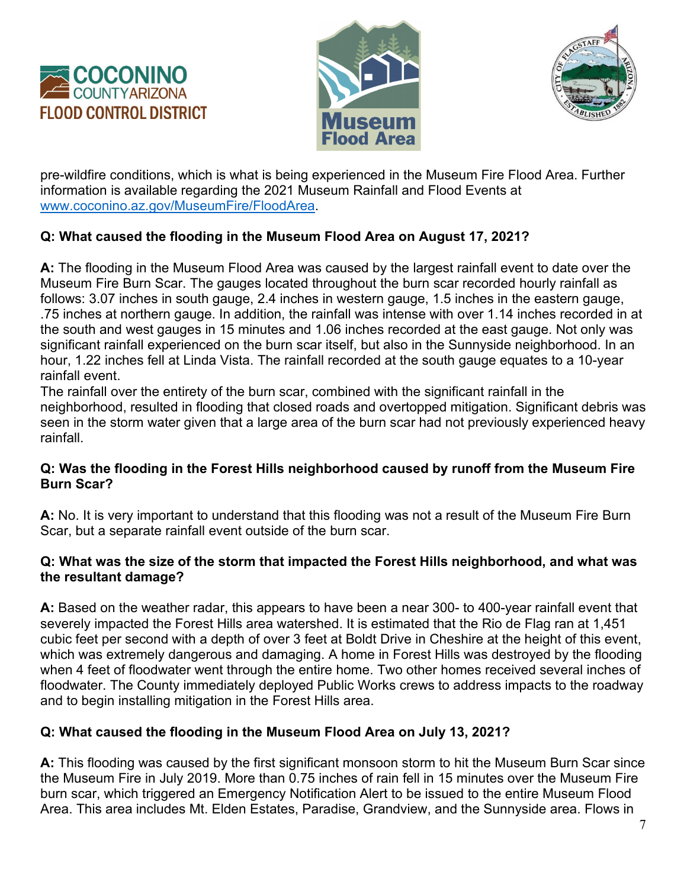





pre-wildfire conditions, which is what is being experienced in the Museum Fire Flood Area. Further information is available regarding the 2021 Museum Rainfall and Flood Events at [www.coconino.az.gov/MuseumFire/FloodArea.](http://www.coconino.az.gov/MuseumFire/FloodArea)

## **Q: What caused the flooding in the Museum Flood Area on August 17, 2021?**

**A:** The flooding in the Museum Flood Area was caused by the largest rainfall event to date over the Museum Fire Burn Scar. The gauges located throughout the burn scar recorded hourly rainfall as follows: 3.07 inches in south gauge, 2.4 inches in western gauge, 1.5 inches in the eastern gauge, .75 inches at northern gauge. In addition, the rainfall was intense with over 1.14 inches recorded in at the south and west gauges in 15 minutes and 1.06 inches recorded at the east gauge. Not only was significant rainfall experienced on the burn scar itself, but also in the Sunnyside neighborhood. In an hour, 1.22 inches fell at Linda Vista. The rainfall recorded at the south gauge equates to a 10-year rainfall event.

The rainfall over the entirety of the burn scar, combined with the significant rainfall in the neighborhood, resulted in flooding that closed roads and overtopped mitigation. Significant debris was seen in the storm water given that a large area of the burn scar had not previously experienced heavy rainfall.

### **Q: Was the flooding in the Forest Hills neighborhood caused by runoff from the Museum Fire Burn Scar?**

**A:** No. It is very important to understand that this flooding was not a result of the Museum Fire Burn Scar, but a separate rainfall event outside of the burn scar.

### **Q: What was the size of the storm that impacted the Forest Hills neighborhood, and what was the resultant damage?**

**A:** Based on the weather radar, this appears to have been a near 300- to 400-year rainfall event that severely impacted the Forest Hills area watershed. It is estimated that the Rio de Flag ran at 1,451 cubic feet per second with a depth of over 3 feet at Boldt Drive in Cheshire at the height of this event, which was extremely dangerous and damaging. A home in Forest Hills was destroyed by the flooding when 4 feet of floodwater went through the entire home. Two other homes received several inches of floodwater. The County immediately deployed Public Works crews to address impacts to the roadway and to begin installing mitigation in the Forest Hills area.

## **Q: What caused the flooding in the Museum Flood Area on July 13, 2021?**

**A:** This flooding was caused by the first significant monsoon storm to hit the Museum Burn Scar since the Museum Fire in July 2019. More than 0.75 inches of rain fell in 15 minutes over the Museum Fire burn scar, which triggered an Emergency Notification Alert to be issued to the entire Museum Flood Area. This area includes Mt. Elden Estates, Paradise, Grandview, and the Sunnyside area. Flows in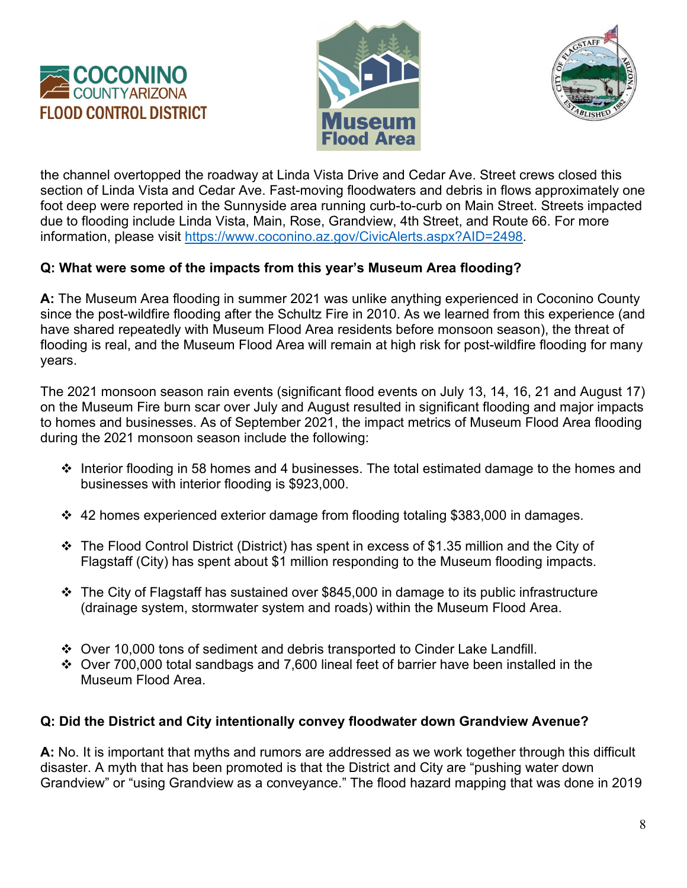





the channel overtopped the roadway at Linda Vista Drive and Cedar Ave. Street crews closed this section of Linda Vista and Cedar Ave. Fast-moving floodwaters and debris in flows approximately one foot deep were reported in the Sunnyside area running curb-to-curb on Main Street. Streets impacted due to flooding include Linda Vista, Main, Rose, Grandview, 4th Street, and Route 66. For more information, please visit [https://www.coconino.az.gov/CivicAlerts.aspx?AID=2498.](https://www.coconino.az.gov/CivicAlerts.aspx?AID=2498)

### **Q: What were some of the impacts from this year's Museum Area flooding?**

**A:** The Museum Area flooding in summer 2021 was unlike anything experienced in Coconino County since the post-wildfire flooding after the Schultz Fire in 2010. As we learned from this experience (and have shared repeatedly with Museum Flood Area residents before monsoon season), the threat of flooding is real, and the Museum Flood Area will remain at high risk for post-wildfire flooding for many years.

The 2021 monsoon season rain events (significant flood events on July 13, 14, 16, 21 and August 17) on the Museum Fire burn scar over July and August resulted in significant flooding and major impacts to homes and businesses. As of September 2021, the impact metrics of Museum Flood Area flooding during the 2021 monsoon season include the following:

- $\cdot$  Interior flooding in 58 homes and 4 businesses. The total estimated damage to the homes and businesses with interior flooding is \$923,000.
- 42 homes experienced exterior damage from flooding totaling \$383,000 in damages.
- The Flood Control District (District) has spent in excess of \$1.35 million and the City of Flagstaff (City) has spent about \$1 million responding to the Museum flooding impacts.
- $\cdot \cdot$  The City of Flagstaff has sustained over \$845,000 in damage to its public infrastructure (drainage system, stormwater system and roads) within the Museum Flood Area.
- Over 10,000 tons of sediment and debris transported to Cinder Lake Landfill.
- Over 700,000 total sandbags and 7,600 lineal feet of barrier have been installed in the Museum Flood Area.

### **Q: Did the District and City intentionally convey floodwater down Grandview Avenue?**

**A:** No. It is important that myths and rumors are addressed as we work together through this difficult disaster. A myth that has been promoted is that the District and City are "pushing water down Grandview" or "using Grandview as a conveyance." The flood hazard mapping that was done in 2019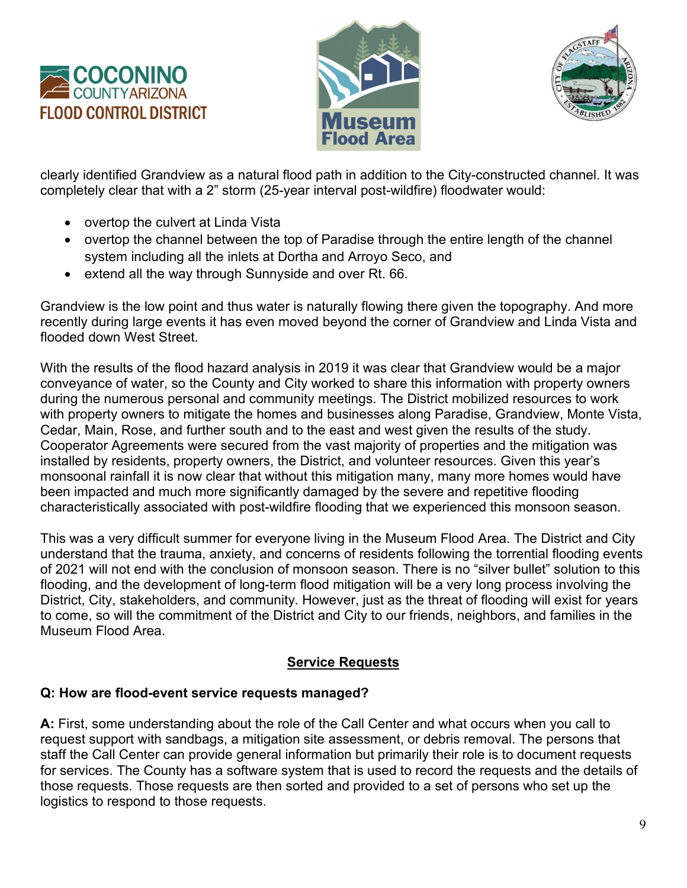





clearly identified Grandview as a natural flood path in addition to the City-constructed channel. It was completely clear that with a 2" storm (25-year interval post-wildfire) floodwater would:

- overtop the culvert at Linda Vista
- overtop the channel between the top of Paradise through the entire length of the channel system including all the inlets at Dortha and Arroyo Seco, and
- extend all the way through Sunnyside and over Rt. 66.

Grandview is the low point and thus water is naturally flowing there given the topography. And more recently during large events it has even moved beyond the corner of Grandview and Linda Vista and flooded down West Street.

With the results of the flood hazard analysis in 2019 it was clear that Grandview would be a major conveyance of water, so the County and City worked to share this information with property owners during the numerous personal and community meetings. The District mobilized resources to work with property owners to mitigate the homes and businesses along Paradise, Grandview, Monte Vista, Cedar, Main, Rose, and further south and to the east and west given the results of the study. Cooperator Agreements were secured from the vast majority of properties and the mitigation was installed by residents, property owners, the District, and volunteer resources. Given this year's monsoonal rainfall it is now clear that without this mitigation many, many more homes would have been impacted and much more significantly damaged by the severe and repetitive flooding characteristically associated with post-wildfire flooding that we experienced this monsoon season.

This was a very difficult summer for everyone living in the Museum Flood Area. The District and City understand that the trauma, anxiety, and concerns of residents following the torrential flooding events of 2021 will not end with the conclusion of monsoon season. There is no "silver bullet" solution to this flooding, and the development of long-term flood mitigation will be a very long process involving the District, City, stakeholders, and community. However, just as the threat of flooding will exist for years to come, so will the commitment of the District and City to our friends, neighbors, and families in the Museum Flood Area.

## **Service Requests**

## **Q: How are flood-event service requests managed?**

**A:** First, some understanding about the role of the Call Center and what occurs when you call to request support with sandbags, a mitigation site assessment, or debris removal. The persons that staff the Call Center can provide general information but primarily their role is to document requests for services. The County has a software system that is used to record the requests and the details of those requests. Those requests are then sorted and provided to a set of persons who set up the logistics to respond to those requests.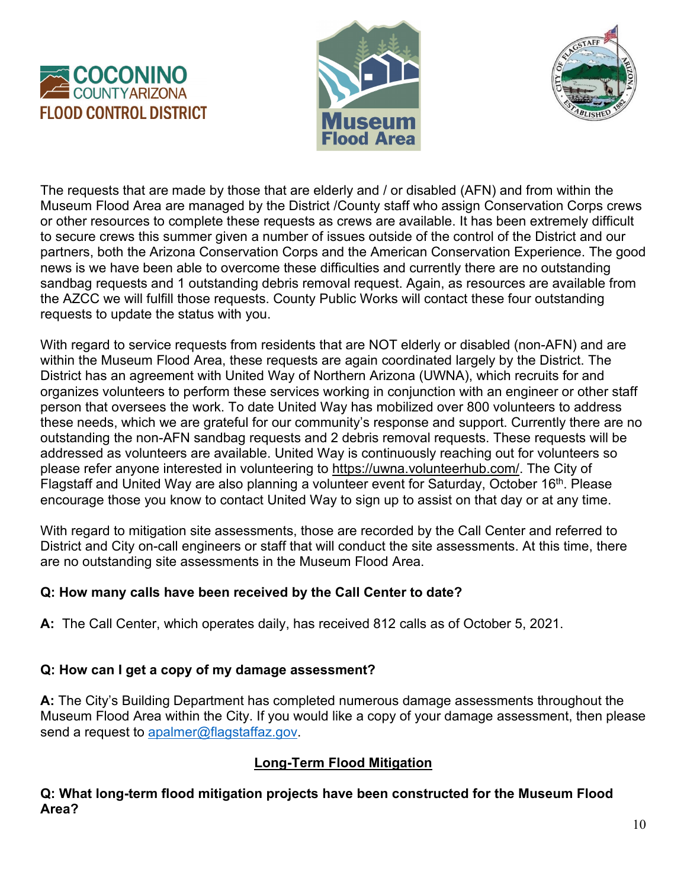





The requests that are made by those that are elderly and / or disabled (AFN) and from within the Museum Flood Area are managed by the District /County staff who assign Conservation Corps crews or other resources to complete these requests as crews are available. It has been extremely difficult to secure crews this summer given a number of issues outside of the control of the District and our partners, both the Arizona Conservation Corps and the American Conservation Experience. The good news is we have been able to overcome these difficulties and currently there are no outstanding sandbag requests and 1 outstanding debris removal request. Again, as resources are available from the AZCC we will fulfill those requests. County Public Works will contact these four outstanding requests to update the status with you.

With regard to service requests from residents that are NOT elderly or disabled (non-AFN) and are within the Museum Flood Area, these requests are again coordinated largely by the District. The District has an agreement with United Way of Northern Arizona (UWNA), which recruits for and organizes volunteers to perform these services working in conjunction with an engineer or other staff person that oversees the work. To date United Way has mobilized over 800 volunteers to address these needs, which we are grateful for our community's response and support. Currently there are no outstanding the non-AFN sandbag requests and 2 debris removal requests. These requests will be addressed as volunteers are available. United Way is continuously reaching out for volunteers so please refer anyone interested in volunteering to [https://uwna.volunteerhub.com/.](https://uwna.volunteerhub.com/) The City of Flagstaff and United Way are also planning a volunteer event for Saturday, October 16<sup>th</sup>. Please encourage those you know to contact United Way to sign up to assist on that day or at any time.

With regard to mitigation site assessments, those are recorded by the Call Center and referred to District and City on-call engineers or staff that will conduct the site assessments. At this time, there are no outstanding site assessments in the Museum Flood Area.

### **Q: How many calls have been received by the Call Center to date?**

**A:** The Call Center, which operates daily, has received 812 calls as of October 5, 2021.

### **Q: How can I get a copy of my damage assessment?**

**A:** The City's Building Department has completed numerous damage assessments throughout the Museum Flood Area within the City. If you would like a copy of your damage assessment, then please send a request to [apalmer@flagstaffaz.gov.](mailto:apalmer@flagstaffaz.gov)

### **Long-Term Flood Mitigation**

**Q: What long-term flood mitigation projects have been constructed for the Museum Flood Area?**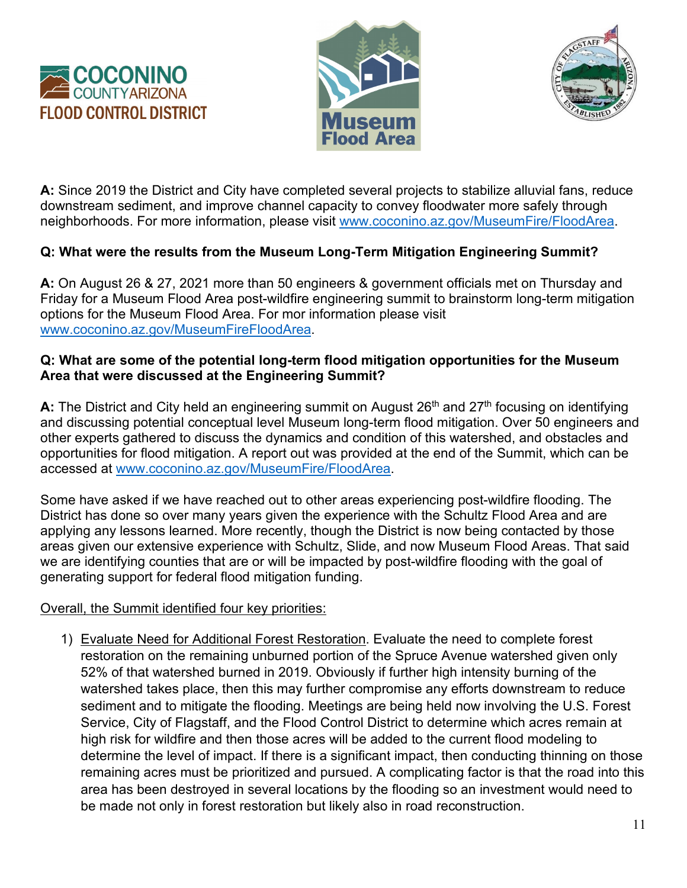





**A:** Since 2019 the District and City have completed several projects to stabilize alluvial fans, reduce downstream sediment, and improve channel capacity to convey floodwater more safely through neighborhoods. For more information, please visit [www.coconino.az.gov/MuseumFire/FloodArea.](http://www.coconino.az.gov/MuseumFire/FloodArea)

## **Q: What were the results from the Museum Long-Term Mitigation Engineering Summit?**

**A:** On August 26 & 27, 2021 more than 50 engineers & government officials met on Thursday and Friday for a Museum Flood Area post-wildfire engineering summit to brainstorm long-term mitigation options for the Museum Flood Area. For mor information please visit [www.coconino.az.gov/MuseumFireFloodArea.](http://www.coconino.az.gov/MuseumFireFloodArea)

#### **Q: What are some of the potential long-term flood mitigation opportunities for the Museum Area that were discussed at the Engineering Summit?**

A: The District and City held an engineering summit on August 26<sup>th</sup> and 27<sup>th</sup> focusing on identifying and discussing potential conceptual level Museum long-term flood mitigation. Over 50 engineers and other experts gathered to discuss the dynamics and condition of this watershed, and obstacles and opportunities for flood mitigation. A report out was provided at the end of the Summit, which can be accessed at [www.coconino.az.gov/MuseumFire/FloodArea.](http://www.coconino.az.gov/MuseumFire/FloodArea)

Some have asked if we have reached out to other areas experiencing post-wildfire flooding. The District has done so over many years given the experience with the Schultz Flood Area and are applying any lessons learned. More recently, though the District is now being contacted by those areas given our extensive experience with Schultz, Slide, and now Museum Flood Areas. That said we are identifying counties that are or will be impacted by post-wildfire flooding with the goal of generating support for federal flood mitigation funding.

### Overall, the Summit identified four key priorities:

1) Evaluate Need for Additional Forest Restoration. Evaluate the need to complete forest restoration on the remaining unburned portion of the Spruce Avenue watershed given only 52% of that watershed burned in 2019. Obviously if further high intensity burning of the watershed takes place, then this may further compromise any efforts downstream to reduce sediment and to mitigate the flooding. Meetings are being held now involving the U.S. Forest Service, City of Flagstaff, and the Flood Control District to determine which acres remain at high risk for wildfire and then those acres will be added to the current flood modeling to determine the level of impact. If there is a significant impact, then conducting thinning on those remaining acres must be prioritized and pursued. A complicating factor is that the road into this area has been destroyed in several locations by the flooding so an investment would need to be made not only in forest restoration but likely also in road reconstruction.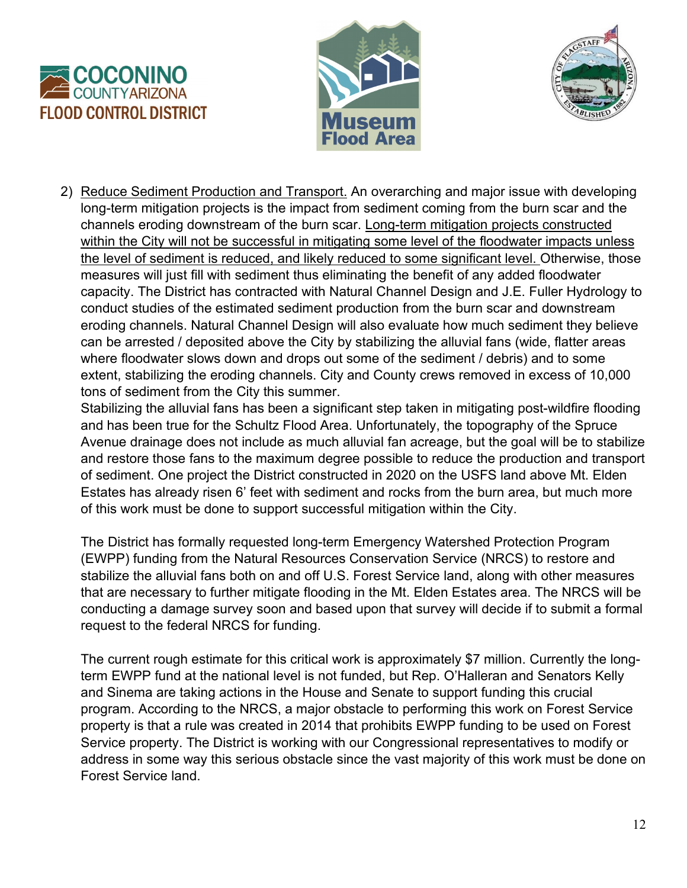





2) Reduce Sediment Production and Transport. An overarching and major issue with developing long-term mitigation projects is the impact from sediment coming from the burn scar and the channels eroding downstream of the burn scar. Long-term mitigation projects constructed within the City will not be successful in mitigating some level of the floodwater impacts unless the level of sediment is reduced, and likely reduced to some significant level. Otherwise, those measures will just fill with sediment thus eliminating the benefit of any added floodwater capacity. The District has contracted with Natural Channel Design and J.E. Fuller Hydrology to conduct studies of the estimated sediment production from the burn scar and downstream eroding channels. Natural Channel Design will also evaluate how much sediment they believe can be arrested / deposited above the City by stabilizing the alluvial fans (wide, flatter areas where floodwater slows down and drops out some of the sediment / debris) and to some extent, stabilizing the eroding channels. City and County crews removed in excess of 10,000 tons of sediment from the City this summer.

Stabilizing the alluvial fans has been a significant step taken in mitigating post-wildfire flooding and has been true for the Schultz Flood Area. Unfortunately, the topography of the Spruce Avenue drainage does not include as much alluvial fan acreage, but the goal will be to stabilize and restore those fans to the maximum degree possible to reduce the production and transport of sediment. One project the District constructed in 2020 on the USFS land above Mt. Elden Estates has already risen 6' feet with sediment and rocks from the burn area, but much more of this work must be done to support successful mitigation within the City.

The District has formally requested long-term Emergency Watershed Protection Program (EWPP) funding from the Natural Resources Conservation Service (NRCS) to restore and stabilize the alluvial fans both on and off U.S. Forest Service land, along with other measures that are necessary to further mitigate flooding in the Mt. Elden Estates area. The NRCS will be conducting a damage survey soon and based upon that survey will decide if to submit a formal request to the federal NRCS for funding.

The current rough estimate for this critical work is approximately \$7 million. Currently the longterm EWPP fund at the national level is not funded, but Rep. O'Halleran and Senators Kelly and Sinema are taking actions in the House and Senate to support funding this crucial program. According to the NRCS, a major obstacle to performing this work on Forest Service property is that a rule was created in 2014 that prohibits EWPP funding to be used on Forest Service property. The District is working with our Congressional representatives to modify or address in some way this serious obstacle since the vast majority of this work must be done on Forest Service land.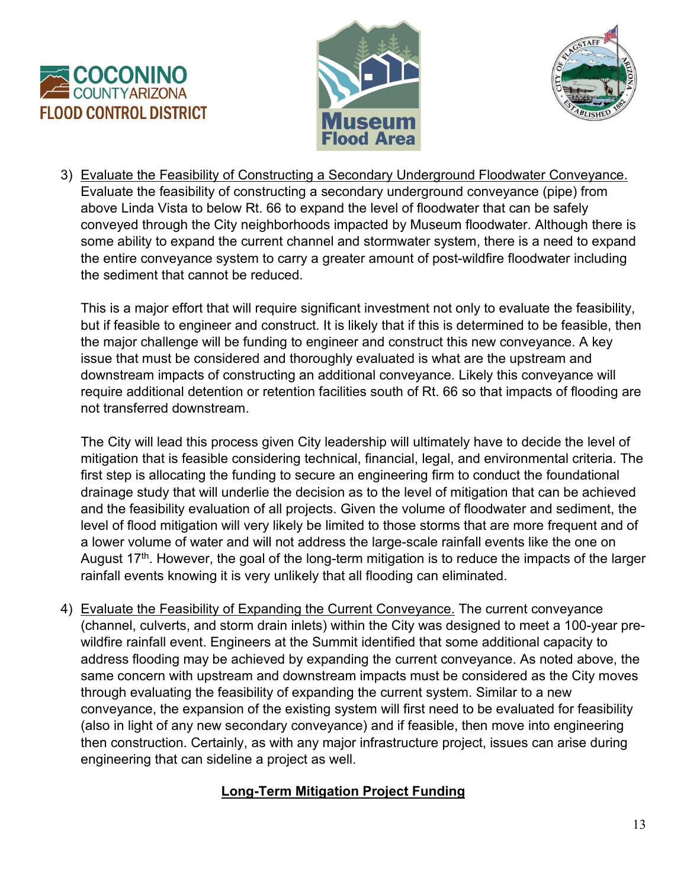





3) Evaluate the Feasibility of Constructing a Secondary Underground Floodwater Conveyance. Evaluate the feasibility of constructing a secondary underground conveyance (pipe) from above Linda Vista to below Rt. 66 to expand the level of floodwater that can be safely conveyed through the City neighborhoods impacted by Museum floodwater. Although there is some ability to expand the current channel and stormwater system, there is a need to expand the entire conveyance system to carry a greater amount of post-wildfire floodwater including the sediment that cannot be reduced.

This is a major effort that will require significant investment not only to evaluate the feasibility, but if feasible to engineer and construct. It is likely that if this is determined to be feasible, then the major challenge will be funding to engineer and construct this new conveyance. A key issue that must be considered and thoroughly evaluated is what are the upstream and downstream impacts of constructing an additional conveyance. Likely this conveyance will require additional detention or retention facilities south of Rt. 66 so that impacts of flooding are not transferred downstream.

The City will lead this process given City leadership will ultimately have to decide the level of mitigation that is feasible considering technical, financial, legal, and environmental criteria. The first step is allocating the funding to secure an engineering firm to conduct the foundational drainage study that will underlie the decision as to the level of mitigation that can be achieved and the feasibility evaluation of all projects. Given the volume of floodwater and sediment, the level of flood mitigation will very likely be limited to those storms that are more frequent and of a lower volume of water and will not address the large-scale rainfall events like the one on August  $17<sup>th</sup>$ . However, the goal of the long-term mitigation is to reduce the impacts of the larger rainfall events knowing it is very unlikely that all flooding can eliminated.

4) Evaluate the Feasibility of Expanding the Current Conveyance. The current conveyance (channel, culverts, and storm drain inlets) within the City was designed to meet a 100-year prewildfire rainfall event. Engineers at the Summit identified that some additional capacity to address flooding may be achieved by expanding the current conveyance. As noted above, the same concern with upstream and downstream impacts must be considered as the City moves through evaluating the feasibility of expanding the current system. Similar to a new conveyance, the expansion of the existing system will first need to be evaluated for feasibility (also in light of any new secondary conveyance) and if feasible, then move into engineering then construction. Certainly, as with any major infrastructure project, issues can arise during engineering that can sideline a project as well.

# **Long-Term Mitigation Project Funding**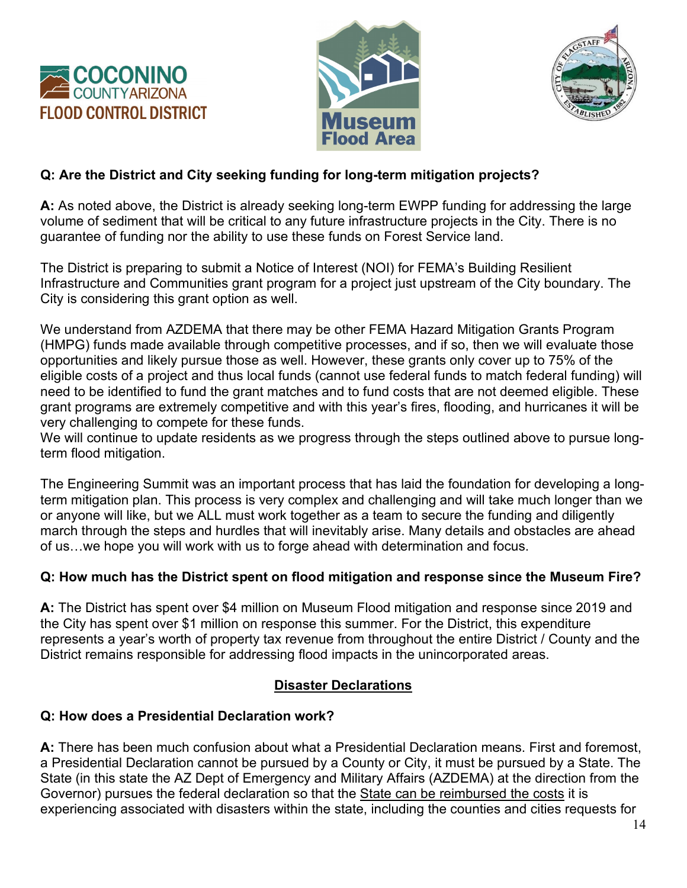





## **Q: Are the District and City seeking funding for long-term mitigation projects?**

**A:** As noted above, the District is already seeking long-term EWPP funding for addressing the large volume of sediment that will be critical to any future infrastructure projects in the City. There is no guarantee of funding nor the ability to use these funds on Forest Service land.

The District is preparing to submit a Notice of Interest (NOI) for FEMA's Building Resilient Infrastructure and Communities grant program for a project just upstream of the City boundary. The City is considering this grant option as well.

We understand from AZDEMA that there may be other FEMA Hazard Mitigation Grants Program (HMPG) funds made available through competitive processes, and if so, then we will evaluate those opportunities and likely pursue those as well. However, these grants only cover up to 75% of the eligible costs of a project and thus local funds (cannot use federal funds to match federal funding) will need to be identified to fund the grant matches and to fund costs that are not deemed eligible. These grant programs are extremely competitive and with this year's fires, flooding, and hurricanes it will be very challenging to compete for these funds.

We will continue to update residents as we progress through the steps outlined above to pursue longterm flood mitigation.

The Engineering Summit was an important process that has laid the foundation for developing a longterm mitigation plan. This process is very complex and challenging and will take much longer than we or anyone will like, but we ALL must work together as a team to secure the funding and diligently march through the steps and hurdles that will inevitably arise. Many details and obstacles are ahead of us…we hope you will work with us to forge ahead with determination and focus.

### **Q: How much has the District spent on flood mitigation and response since the Museum Fire?**

**A:** The District has spent over \$4 million on Museum Flood mitigation and response since 2019 and the City has spent over \$1 million on response this summer. For the District, this expenditure represents a year's worth of property tax revenue from throughout the entire District / County and the District remains responsible for addressing flood impacts in the unincorporated areas.

### **Disaster Declarations**

### **Q: How does a Presidential Declaration work?**

**A:** There has been much confusion about what a Presidential Declaration means. First and foremost, a Presidential Declaration cannot be pursued by a County or City, it must be pursued by a State. The State (in this state the AZ Dept of Emergency and Military Affairs (AZDEMA) at the direction from the Governor) pursues the federal declaration so that the State can be reimbursed the costs it is experiencing associated with disasters within the state, including the counties and cities requests for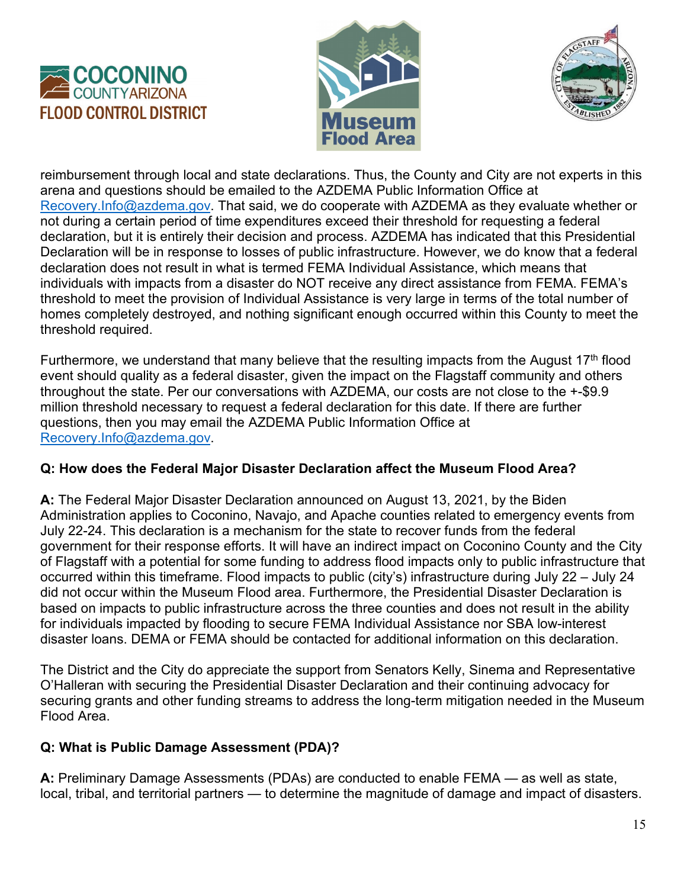





reimbursement through local and state declarations. Thus, the County and City are not experts in this arena and questions should be emailed to the AZDEMA Public Information Office at [Recovery.Info@azdema.gov.](mailto:Recovery.Info@azdema.gov) That said, we do cooperate with AZDEMA as they evaluate whether or not during a certain period of time expenditures exceed their threshold for requesting a federal declaration, but it is entirely their decision and process. AZDEMA has indicated that this Presidential Declaration will be in response to losses of public infrastructure. However, we do know that a federal declaration does not result in what is termed FEMA Individual Assistance, which means that individuals with impacts from a disaster do NOT receive any direct assistance from FEMA. FEMA's threshold to meet the provision of Individual Assistance is very large in terms of the total number of homes completely destroyed, and nothing significant enough occurred within this County to meet the threshold required.

Furthermore, we understand that many believe that the resulting impacts from the August  $17<sup>th</sup>$  flood event should quality as a federal disaster, given the impact on the Flagstaff community and others throughout the state. Per our conversations with AZDEMA, our costs are not close to the +-\$9.9 million threshold necessary to request a federal declaration for this date. If there are further questions, then you may email the AZDEMA Public Information Office at [Recovery.Info@azdema.gov.](mailto:Recovery.Info@azdema.gov)

### **Q: How does the Federal Major Disaster Declaration affect the Museum Flood Area?**

**A:** The Federal Major Disaster Declaration announced on August 13, 2021, by the Biden Administration applies to Coconino, Navajo, and Apache counties related to emergency events from July 22-24. This declaration is a mechanism for the state to recover funds from the federal government for their response efforts. It will have an indirect impact on Coconino County and the City of Flagstaff with a potential for some funding to address flood impacts only to public infrastructure that occurred within this timeframe. Flood impacts to public (city's) infrastructure during July 22 – July 24 did not occur within the Museum Flood area. Furthermore, the Presidential Disaster Declaration is based on impacts to public infrastructure across the three counties and does not result in the ability for individuals impacted by flooding to secure FEMA Individual Assistance nor SBA low-interest disaster loans. DEMA or FEMA should be contacted for additional information on this declaration.

The District and the City do appreciate the support from Senators Kelly, Sinema and Representative O'Halleran with securing the Presidential Disaster Declaration and their continuing advocacy for securing grants and other funding streams to address the long-term mitigation needed in the Museum Flood Area.

## **Q: What is Public Damage Assessment (PDA)?**

**A:** Preliminary Damage Assessments (PDAs) are conducted to enable FEMA — as well as state, local, tribal, and territorial partners — to determine the magnitude of damage and impact of disasters.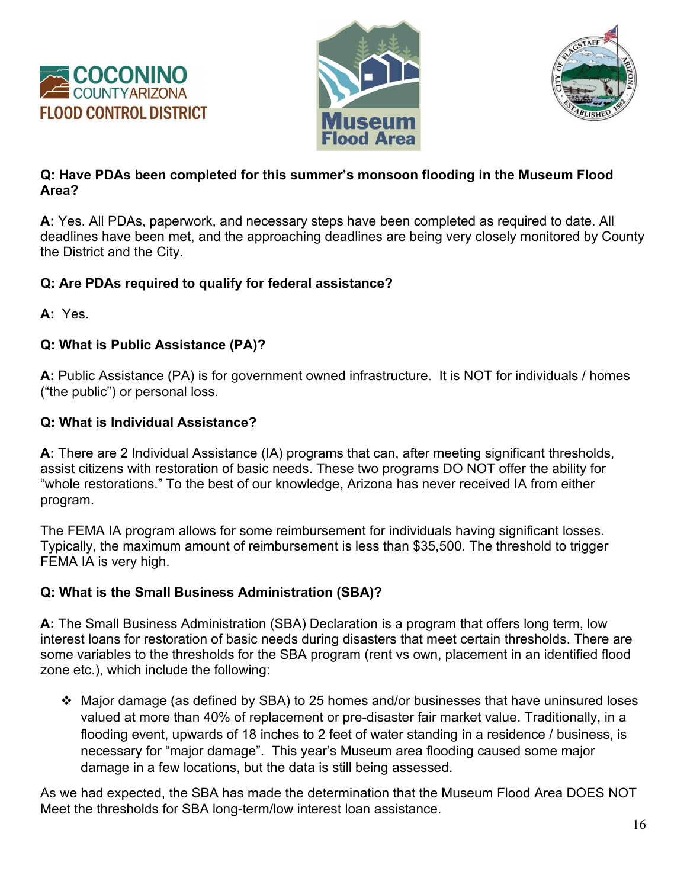





### **Q: Have PDAs been completed for this summer's monsoon flooding in the Museum Flood Area?**

**A:** Yes. All PDAs, paperwork, and necessary steps have been completed as required to date. All deadlines have been met, and the approaching deadlines are being very closely monitored by County the District and the City.

### **Q: Are PDAs required to qualify for federal assistance?**

**A:** Yes.

### **Q: What is Public Assistance (PA)?**

**A:** Public Assistance (PA) is for government owned infrastructure. It is NOT for individuals / homes ("the public") or personal loss.

### **Q: What is Individual Assistance?**

**A:** There are 2 Individual Assistance (IA) programs that can, after meeting significant thresholds, assist citizens with restoration of basic needs. These two programs DO NOT offer the ability for "whole restorations." To the best of our knowledge, Arizona has never received IA from either program.

The FEMA IA program allows for some reimbursement for individuals having significant losses. Typically, the maximum amount of reimbursement is less than \$35,500. The threshold to trigger FEMA IA is very high.

### **Q: What is the Small Business Administration (SBA)?**

**A:** The Small Business Administration (SBA) Declaration is a program that offers long term, low interest loans for restoration of basic needs during disasters that meet certain thresholds. There are some variables to the thresholds for the SBA program (rent vs own, placement in an identified flood zone etc.), which include the following:

 Major damage (as defined by SBA) to 25 homes and/or businesses that have uninsured loses valued at more than 40% of replacement or pre-disaster fair market value. Traditionally, in a flooding event, upwards of 18 inches to 2 feet of water standing in a residence / business, is necessary for "major damage". This year's Museum area flooding caused some major damage in a few locations, but the data is still being assessed.

As we had expected, the SBA has made the determination that the Museum Flood Area DOES NOT Meet the thresholds for SBA long-term/low interest loan assistance.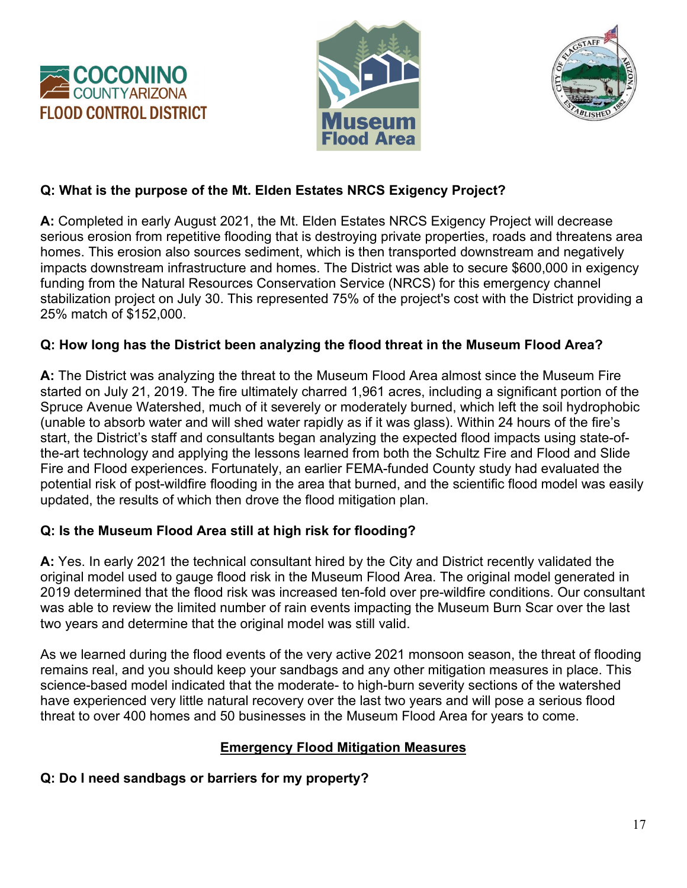





## **Q: What is the purpose of the Mt. Elden Estates NRCS Exigency Project?**

**A:** Completed in early August 2021, the Mt. Elden Estates NRCS Exigency Project will decrease serious erosion from repetitive flooding that is destroying private properties, roads and threatens area homes. This erosion also sources sediment, which is then transported downstream and negatively impacts downstream infrastructure and homes. The District was able to secure \$600,000 in exigency funding from the Natural Resources Conservation Service (NRCS) for this emergency channel stabilization project on July 30. This represented 75% of the project's cost with the District providing a 25% match of \$152,000.

### **Q: How long has the District been analyzing the flood threat in the Museum Flood Area?**

**A:** The District was analyzing the threat to the Museum Flood Area almost since the Museum Fire started on July 21, 2019. The fire ultimately charred 1,961 acres, including a significant portion of the Spruce Avenue Watershed, much of it severely or moderately burned, which left the soil hydrophobic (unable to absorb water and will shed water rapidly as if it was glass). Within 24 hours of the fire's start, the District's staff and consultants began analyzing the expected flood impacts using state-ofthe-art technology and applying the lessons learned from both the Schultz Fire and Flood and Slide Fire and Flood experiences. Fortunately, an earlier FEMA-funded County study had evaluated the potential risk of post-wildfire flooding in the area that burned, and the scientific flood model was easily updated, the results of which then drove the flood mitigation plan.

### **Q: Is the Museum Flood Area still at high risk for flooding?**

**A:** Yes. In early 2021 the technical consultant hired by the City and District recently validated the original model used to gauge flood risk in the Museum Flood Area. The original model generated in 2019 determined that the flood risk was increased ten-fold over pre-wildfire conditions. Our consultant was able to review the limited number of rain events impacting the Museum Burn Scar over the last two years and determine that the original model was still valid.

As we learned during the flood events of the very active 2021 monsoon season, the threat of flooding remains real, and you should keep your sandbags and any other mitigation measures in place. This science-based model indicated that the moderate- to high-burn severity sections of the watershed have experienced very little natural recovery over the last two years and will pose a serious flood threat to over 400 homes and 50 businesses in the Museum Flood Area for years to come.

## **Emergency Flood Mitigation Measures**

### **Q: Do I need sandbags or barriers for my property?**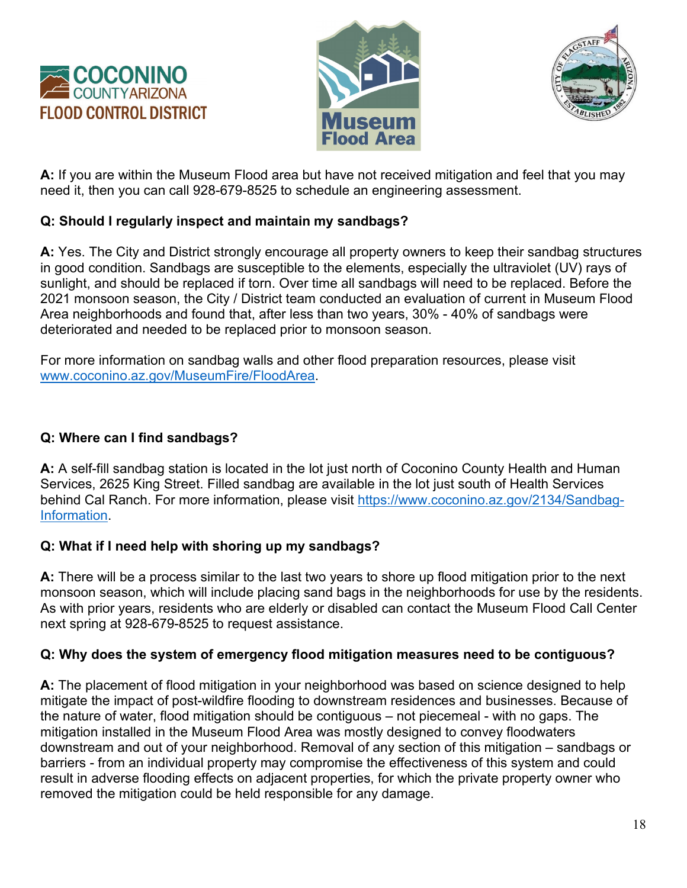





**A:** If you are within the Museum Flood area but have not received mitigation and feel that you may need it, then you can call 928-679-8525 to schedule an engineering assessment.

### **Q: Should I regularly inspect and maintain my sandbags?**

**A:** Yes. The City and District strongly encourage all property owners to keep their sandbag structures in good condition. Sandbags are susceptible to the elements, especially the ultraviolet (UV) rays of sunlight, and should be replaced if torn. Over time all sandbags will need to be replaced. Before the 2021 monsoon season, the City / District team conducted an evaluation of current in Museum Flood Area neighborhoods and found that, after less than two years, 30% - 40% of sandbags were deteriorated and needed to be replaced prior to monsoon season.

For more information on sandbag walls and other flood preparation resources, please visit [www.coconino.az.gov/MuseumFire/FloodArea.](http://www.coconino.az.gov/MuseumFire/FloodArea)

### **Q: Where can I find sandbags?**

**A:** A self-fill sandbag station is located in the lot just north of Coconino County Health and Human Services, 2625 King Street. Filled sandbag are available in the lot just south of Health Services behind Cal Ranch. For more information, please visit [https://www.coconino.az.gov/2134/Sandbag-](https://www.coconino.az.gov/2134/Sandbag-Information)[Information.](https://www.coconino.az.gov/2134/Sandbag-Information)

## **Q: What if I need help with shoring up my sandbags?**

**A:** There will be a process similar to the last two years to shore up flood mitigation prior to the next monsoon season, which will include placing sand bags in the neighborhoods for use by the residents. As with prior years, residents who are elderly or disabled can contact the Museum Flood Call Center next spring at 928-679-8525 to request assistance.

### **Q: Why does the system of emergency flood mitigation measures need to be contiguous?**

**A:** The placement of flood mitigation in your neighborhood was based on science designed to help mitigate the impact of post-wildfire flooding to downstream residences and businesses. Because of the nature of water, flood mitigation should be contiguous – not piecemeal - with no gaps. The mitigation installed in the Museum Flood Area was mostly designed to convey floodwaters downstream and out of your neighborhood. Removal of any section of this mitigation – sandbags or barriers - from an individual property may compromise the effectiveness of this system and could result in adverse flooding effects on adjacent properties, for which the private property owner who removed the mitigation could be held responsible for any damage.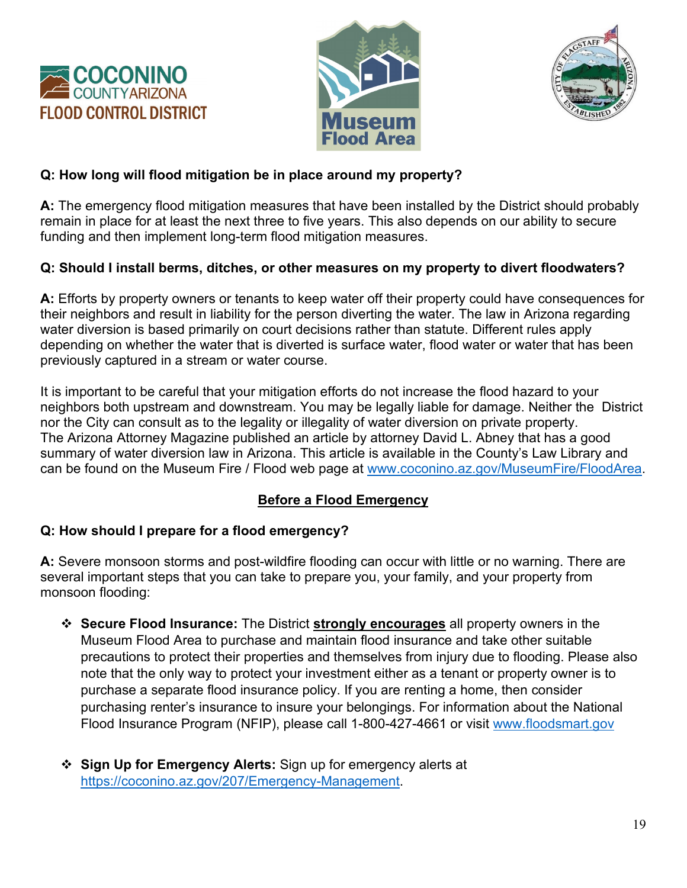





### **Q: How long will flood mitigation be in place around my property?**

**A:** The emergency flood mitigation measures that have been installed by the District should probably remain in place for at least the next three to five years. This also depends on our ability to secure funding and then implement long-term flood mitigation measures.

## **Q: Should I install berms, ditches, or other measures on my property to divert floodwaters?**

**A:** Efforts by property owners or tenants to keep water off their property could have consequences for their neighbors and result in liability for the person diverting the water. The law in Arizona regarding water diversion is based primarily on court decisions rather than statute. Different rules apply depending on whether the water that is diverted is surface water, flood water or water that has been previously captured in a stream or water course.

It is important to be careful that your mitigation efforts do not increase the flood hazard to your neighbors both upstream and downstream. You may be legally liable for damage. Neither the District nor the City can consult as to the legality or illegality of water diversion on private property. The Arizona Attorney Magazine published an article by attorney David L. Abney that has a good summary of water diversion law in Arizona. This article is available in the County's Law Library and can be found on the Museum Fire / Flood web page at [www.coconino.az.gov/MuseumFire/FloodArea.](http://www.coconino.az.gov/MuseumFire/FloodArea)

## **Before a Flood Emergency**

## **Q: How should I prepare for a flood emergency?**

**A:** Severe monsoon storms and post-wildfire flooding can occur with little or no warning. There are several important steps that you can take to prepare you, your family, and your property from monsoon flooding:

- **Secure Flood Insurance:** The District **strongly encourages** all property owners in the Museum Flood Area to purchase and maintain flood insurance and take other suitable precautions to protect their properties and themselves from injury due to flooding. Please also note that the only way to protect your investment either as a tenant or property owner is to purchase a separate flood insurance policy. If you are renting a home, then consider purchasing renter's insurance to insure your belongings. For information about the National Flood Insurance Program (NFIP), please call 1-800-427-4661 or visit [www.floodsmart.gov](http://www.floodsmart.gov/)
- **Sign Up for Emergency Alerts:** Sign up for emergency alerts at [https://coconino.az.gov/207/Emergency-Management.](https://coconino.az.gov/207/Emergency-Management)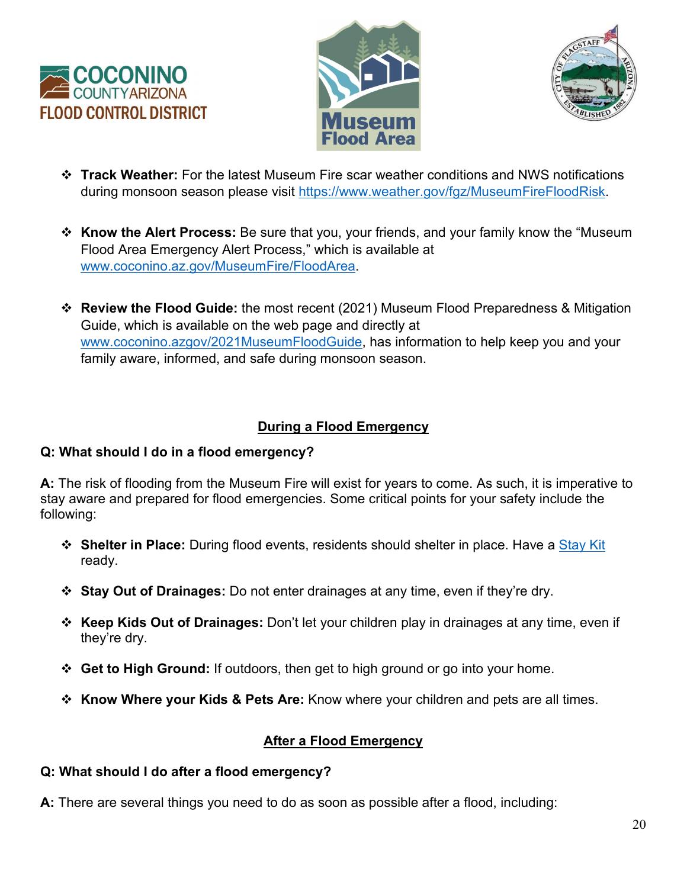





- **Track Weather:** For the latest Museum Fire scar weather conditions and NWS notifications during monsoon season please visit [https://www.weather.gov/fgz/MuseumFireFloodRisk.](https://www.weather.gov/fgz/MuseumFireFloodRisk)
- **Know the Alert Process:** Be sure that you, your friends, and your family know the "Museum Flood Area Emergency Alert Process," which is available at [www.coconino.az.gov/MuseumFire/FloodArea.](http://www.coconino.az.gov/MuseumFire/FloodArea)
- **Review the Flood Guide:** the most recent (2021) Museum Flood Preparedness & Mitigation Guide, which is available on the web page and directly at [www.coconino.azgov/2021MuseumFloodGuide,](http://www.coconino.azgov/2021MuseumFloodGuide) has information to help keep you and your family aware, informed, and safe during monsoon season.

## **During a Flood Emergency**

## **Q: What should I do in a flood emergency?**

**A:** The risk of flooding from the Museum Fire will exist for years to come. As such, it is imperative to stay aware and prepared for flood emergencies. Some critical points for your safety include the following:

- **Shelter in Place:** During flood events, residents should shelter in place. Have a [Stay Kit](https://www.facebook.com/CoconinoCounty/photos/a.590463107661226/5998548300185986/) ready.
- **Stay Out of Drainages:** Do not enter drainages at any time, even if they're dry.
- **Keep Kids Out of Drainages:** Don't let your children play in drainages at any time, even if they're dry.
- **Get to High Ground:** If outdoors, then get to high ground or go into your home.
- **Know Where your Kids & Pets Are:** Know where your children and pets are all times.

## **After a Flood Emergency**

## **Q: What should I do after a flood emergency?**

**A:** There are several things you need to do as soon as possible after a flood, including: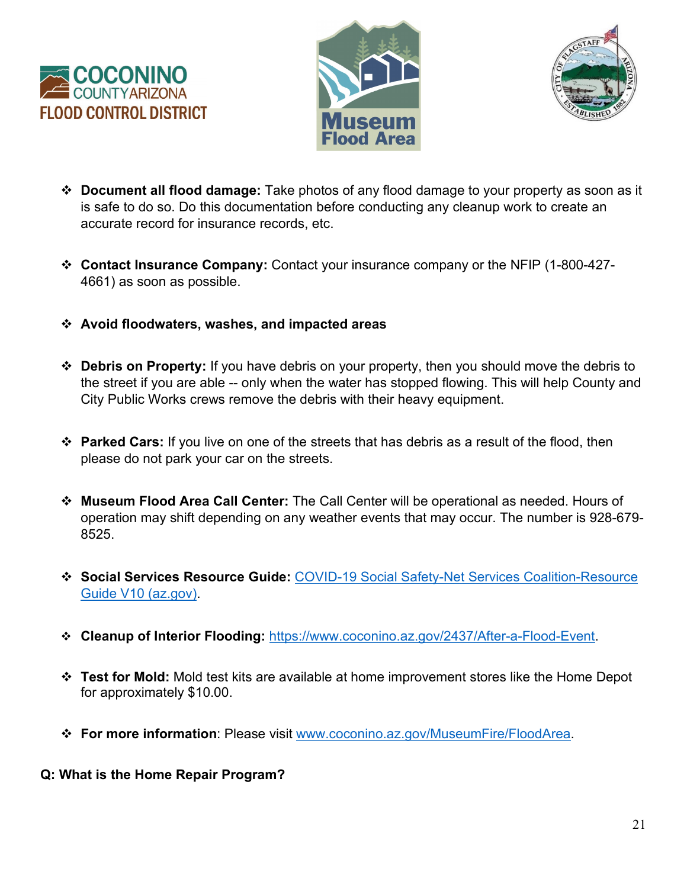





- **Document all flood damage:** Take photos of any flood damage to your property as soon as it is safe to do so. Do this documentation before conducting any cleanup work to create an accurate record for insurance records, etc.
- **Contact Insurance Company:** Contact your insurance company or the NFIP (1-800-427- 4661) as soon as possible.
- **Avoid floodwaters, washes, and impacted areas**
- **Debris on Property:** If you have debris on your property, then you should move the debris to the street if you are able -- only when the water has stopped flowing. This will help County and City Public Works crews remove the debris with their heavy equipment.
- **Parked Cars:** If you live on one of the streets that has debris as a result of the flood, then please do not park your car on the streets.
- **Museum Flood Area Call Center:** The Call Center will be operational as needed. Hours of operation may shift depending on any weather events that may occur. The number is 928-679- 8525.
- **Social Services Resource Guide:** [COVID-19 Social Safety-Net Services Coalition-Resource](https://www.coconino.az.gov/DocumentCenter/View/45523/Social-Safety-Net-Services-Coalition-Resource-Guide-2021?bidId=)  [Guide V10 \(az.gov\).](https://www.coconino.az.gov/DocumentCenter/View/45523/Social-Safety-Net-Services-Coalition-Resource-Guide-2021?bidId=)
- **Cleanup of Interior Flooding:** [https://www.coconino.az.gov/2437/After-a-Flood-Event.](https://www.coconino.az.gov/2437/After-a-Flood-Event)
- **Test for Mold:** Mold test kits are available at home improvement stores like the Home Depot for approximately \$10.00.
- **For more information**: Please visit [www.coconino.az.gov/MuseumFire/FloodArea.](http://www.coconino.az.gov/MuseumFire/FloodArea)
- **Q: What is the Home Repair Program?**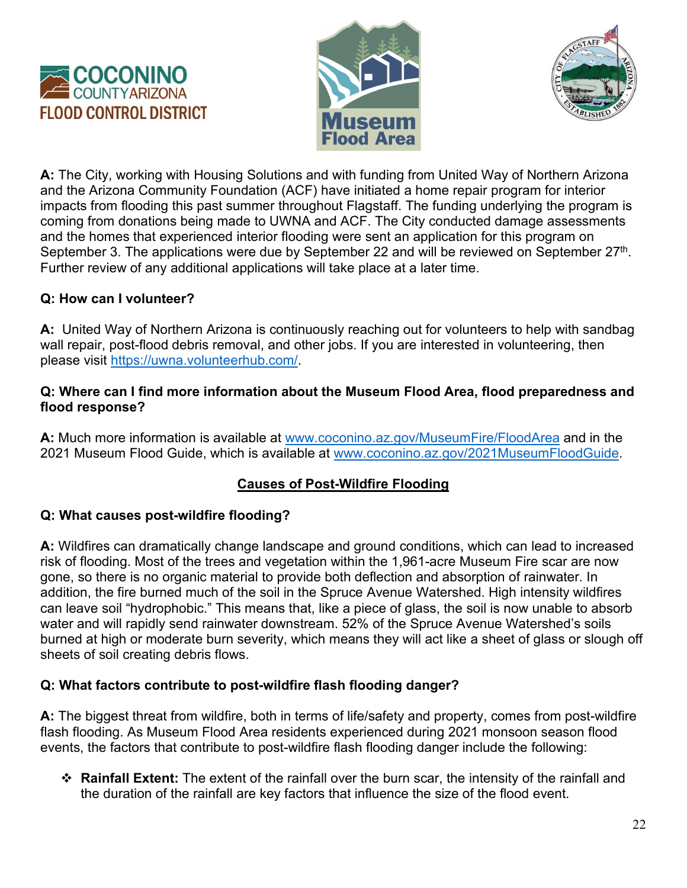





**A:** The City, working with Housing Solutions and with funding from United Way of Northern Arizona and the Arizona Community Foundation (ACF) have initiated a home repair program for interior impacts from flooding this past summer throughout Flagstaff. The funding underlying the program is coming from donations being made to UWNA and ACF. The City conducted damage assessments and the homes that experienced interior flooding were sent an application for this program on September 3. The applications were due by September 22 and will be reviewed on September 27<sup>th</sup>. Further review of any additional applications will take place at a later time.

### **Q: How can I volunteer?**

**A:** United Way of Northern Arizona is continuously reaching out for volunteers to help with sandbag wall repair, post-flood debris removal, and other jobs. If you are interested in volunteering, then please visit [https://uwna.volunteerhub.com/.](https://uwna.volunteerhub.com/)

#### **Q: Where can I find more information about the Museum Flood Area, flood preparedness and flood response?**

**A:** Much more information is available at [www.coconino.az.gov/MuseumFire/FloodArea](http://www.coconino.az.gov/MuseumFire/FloodArea) and in the 2021 Museum Flood Guide, which is available at [www.coconino.az.gov/2021MuseumFloodGuide.](http://www.coconino.az.gov/2021MuseumFloodGuide)

## **Causes of Post-Wildfire Flooding**

### **Q: What causes post-wildfire flooding?**

**A:** Wildfires can dramatically change landscape and ground conditions, which can lead to increased risk of flooding. Most of the trees and vegetation within the 1,961-acre Museum Fire scar are now gone, so there is no organic material to provide both deflection and absorption of rainwater. In addition, the fire burned much of the soil in the Spruce Avenue Watershed. High intensity wildfires can leave soil "hydrophobic." This means that, like a piece of glass, the soil is now unable to absorb water and will rapidly send rainwater downstream. 52% of the Spruce Avenue Watershed's soils burned at high or moderate burn severity, which means they will act like a sheet of glass or slough off sheets of soil creating debris flows.

### **Q: What factors contribute to post-wildfire flash flooding danger?**

**A:** The biggest threat from wildfire, both in terms of life/safety and property, comes from post-wildfire flash flooding. As Museum Flood Area residents experienced during 2021 monsoon season flood events, the factors that contribute to post-wildfire flash flooding danger include the following:

 **Rainfall Extent:** The extent of the rainfall over the burn scar, the intensity of the rainfall and the duration of the rainfall are key factors that influence the size of the flood event.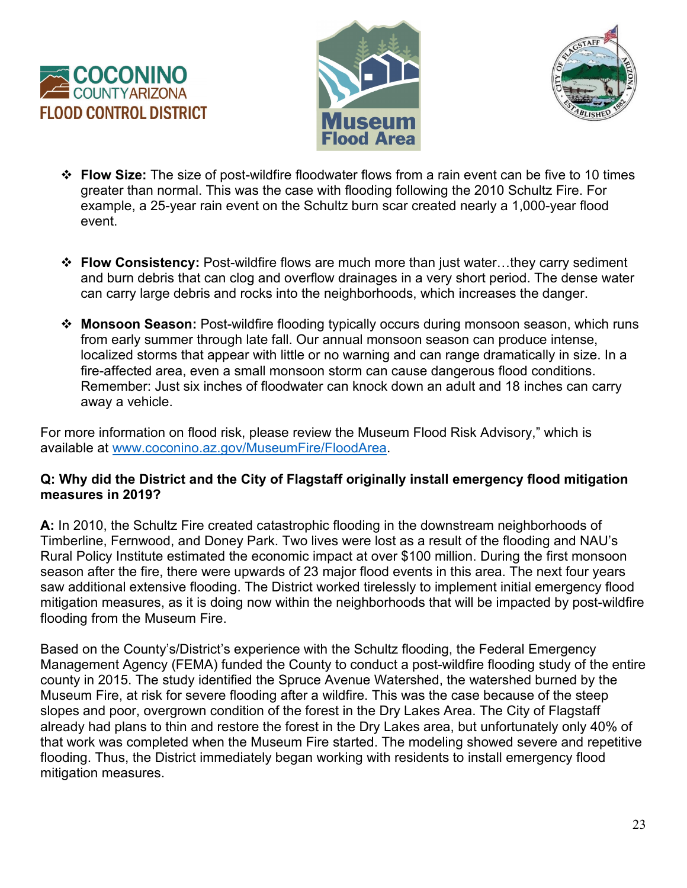





- **Flow Size:** The size of post-wildfire floodwater flows from a rain event can be five to 10 times greater than normal. This was the case with flooding following the 2010 Schultz Fire. For example, a 25-year rain event on the Schultz burn scar created nearly a 1,000-year flood event.
- **Flow Consistency:** Post-wildfire flows are much more than just water…they carry sediment and burn debris that can clog and overflow drainages in a very short period. The dense water can carry large debris and rocks into the neighborhoods, which increases the danger.
- **Monsoon Season:** Post-wildfire flooding typically occurs during monsoon season, which runs from early summer through late fall. Our annual monsoon season can produce intense, localized storms that appear with little or no warning and can range dramatically in size. In a fire-affected area, even a small monsoon storm can cause dangerous flood conditions. Remember: Just six inches of floodwater can knock down an adult and 18 inches can carry away a vehicle.

For more information on flood risk, please review the Museum Flood Risk Advisory," which is available at [www.coconino.az.gov/MuseumFire/FloodArea.](http://www.coconino.az.gov/MuseumFire/FloodArea)

#### **Q: Why did the District and the City of Flagstaff originally install emergency flood mitigation measures in 2019?**

**A:** In 2010, the Schultz Fire created catastrophic flooding in the downstream neighborhoods of Timberline, Fernwood, and Doney Park. Two lives were lost as a result of the flooding and NAU's Rural Policy Institute estimated the economic impact at over \$100 million. During the first monsoon season after the fire, there were upwards of 23 major flood events in this area. The next four years saw additional extensive flooding. The District worked tirelessly to implement initial emergency flood mitigation measures, as it is doing now within the neighborhoods that will be impacted by post-wildfire flooding from the Museum Fire.

Based on the County's/District's experience with the Schultz flooding, the Federal Emergency Management Agency (FEMA) funded the County to conduct a post-wildfire flooding study of the entire county in 2015. The study identified the Spruce Avenue Watershed, the watershed burned by the Museum Fire, at risk for severe flooding after a wildfire. This was the case because of the steep slopes and poor, overgrown condition of the forest in the Dry Lakes Area. The City of Flagstaff already had plans to thin and restore the forest in the Dry Lakes area, but unfortunately only 40% of that work was completed when the Museum Fire started. The modeling showed severe and repetitive flooding. Thus, the District immediately began working with residents to install emergency flood mitigation measures.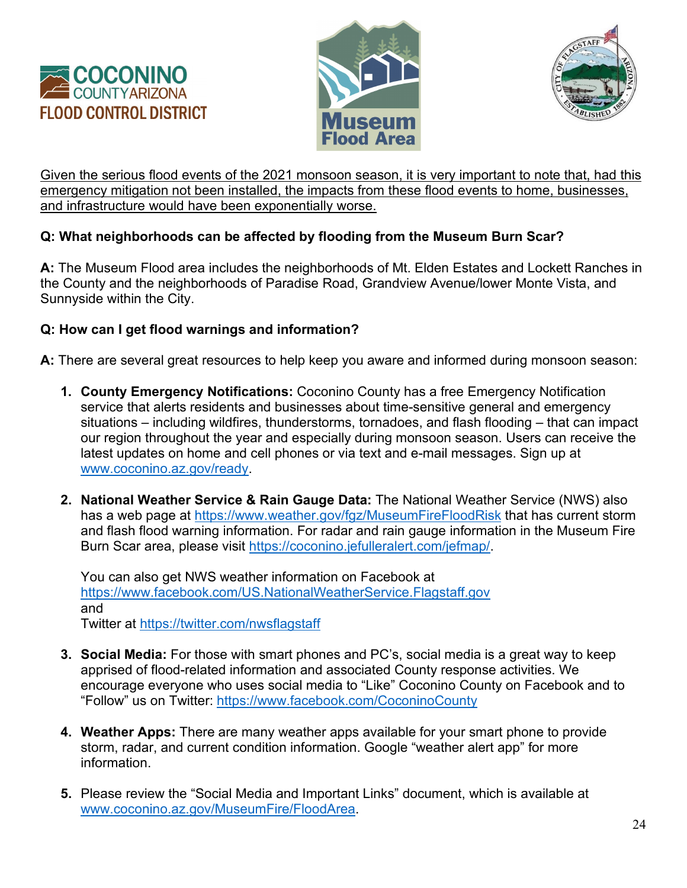





Given the serious flood events of the 2021 monsoon season, it is very important to note that, had this emergency mitigation not been installed, the impacts from these flood events to home, businesses, and infrastructure would have been exponentially worse.

## **Q: What neighborhoods can be affected by flooding from the Museum Burn Scar?**

**A:** The Museum Flood area includes the neighborhoods of Mt. Elden Estates and Lockett Ranches in the County and the neighborhoods of Paradise Road, Grandview Avenue/lower Monte Vista, and Sunnyside within the City.

### **Q: How can I get flood warnings and information?**

**A:** There are several great resources to help keep you aware and informed during monsoon season:

- **1. County Emergency Notifications:** Coconino County has a free Emergency Notification service that alerts residents and businesses about time-sensitive general and emergency situations – including wildfires, thunderstorms, tornadoes, and flash flooding – that can impact our region throughout the year and especially during monsoon season. Users can receive the latest updates on home and cell phones or via text and e-mail messages. Sign up at [www.coconino.az.gov/ready.](http://www.coconino.az.gov/ready)
- **2. National Weather Service & Rain Gauge Data:** The National Weather Service (NWS) also has a web page at<https://www.weather.gov/fgz/MuseumFireFloodRisk> that has current storm and flash flood warning information. For radar and rain gauge information in the Museum Fire Burn Scar area, please visit [https://coconino.jefulleralert.com/jefmap/.](https://coconino.jefulleralert.com/jefmap/)

You can also get NWS weather information on Facebook at <https://www.facebook.com/US.NationalWeatherService.Flagstaff.gov> and Twitter at<https://twitter.com/nwsflagstaff>

- **3. Social Media:** For those with smart phones and PC's, social media is a great way to keep apprised of flood-related information and associated County response activities. We encourage everyone who uses social media to "Like" Coconino County on Facebook and to "Follow" us on Twitter:<https://www.facebook.com/CoconinoCounty>
- **4. Weather Apps:** There are many weather apps available for your smart phone to provide storm, radar, and current condition information. Google "weather alert app" for more information.
- **5.** Please review the "Social Media and Important Links" document, which is available at [www.coconino.az.gov/MuseumFire/FloodArea.](http://www.coconino.az.gov/MuseumFire/FloodArea)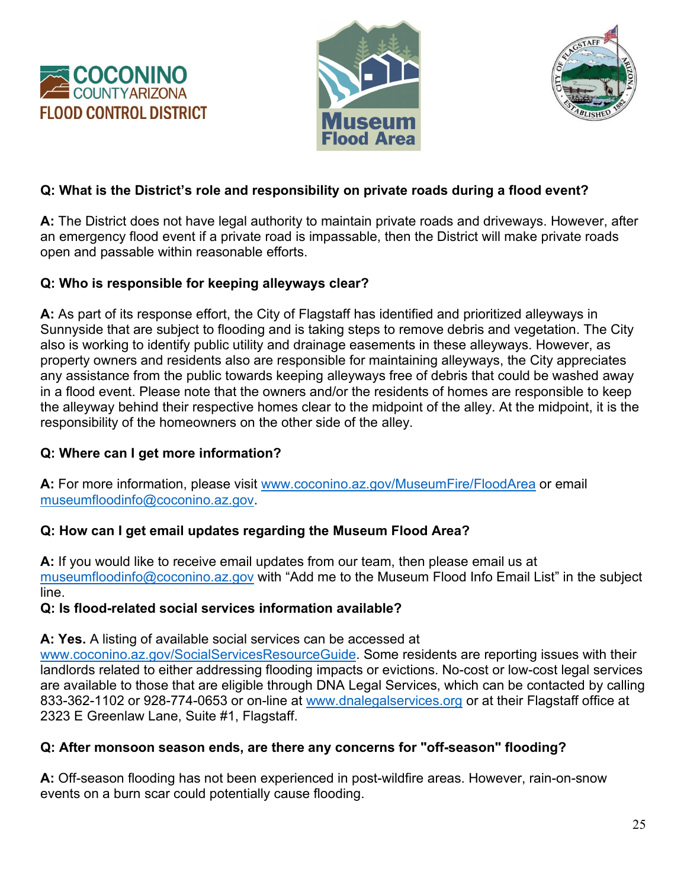





### **Q: What is the District's role and responsibility on private roads during a flood event?**

**A:** The District does not have legal authority to maintain private roads and driveways. However, after an emergency flood event if a private road is impassable, then the District will make private roads open and passable within reasonable efforts.

#### **Q: Who is responsible for keeping alleyways clear?**

**A:** As part of its response effort, the City of Flagstaff has identified and prioritized alleyways in Sunnyside that are subject to flooding and is taking steps to remove debris and vegetation. The City also is working to identify public utility and drainage easements in these alleyways. However, as property owners and residents also are responsible for maintaining alleyways, the City appreciates any assistance from the public towards keeping alleyways free of debris that could be washed away in a flood event. Please note that the owners and/or the residents of homes are responsible to keep the alleyway behind their respective homes clear to the midpoint of the alley. At the midpoint, it is the responsibility of the homeowners on the other side of the alley.

### **Q: Where can I get more information?**

**A:** For more information, please visit [www.coconino.az.gov/MuseumFire/FloodArea](http://www.coconino.az.gov/MuseumFire/FloodAreae) or email [museumfloodinfo@coconino.az.gov.](mailto:museumfloodinfo@coconino.az.gov)

### **Q: How can I get email updates regarding the Museum Flood Area?**

**A:** If you would like to receive email updates from our team, then please email us at [museumfloodinfo@coconino.az.gov](mailto:museumfloodinfo@coconino.az.gov) with "Add me to the Museum Flood Info Email List" in the subject line.

#### **Q: Is flood-related social services information available?**

**A: Yes.** A listing of available social services can be accessed at

[www.coconino.az.gov/SocialServicesResourceGuide.](http://www.coconino.az.gov/SocialServicesResourceGuide) Some residents are reporting issues with their landlords related to either addressing flooding impacts or evictions. No-cost or low-cost legal services are available to those that are eligible through DNA Legal Services, which can be contacted by calling 833-362-1102 or 928-774-0653 or on-line at [www.dnalegalservices.org](http://www.dnalegalservices.org/) or at their Flagstaff office at 2323 E Greenlaw Lane, Suite #1, Flagstaff.

### **Q: After monsoon season ends, are there any concerns for "off-season" flooding?**

**A:** Off-season flooding has not been experienced in post-wildfire areas. However, rain-on-snow events on a burn scar could potentially cause flooding.